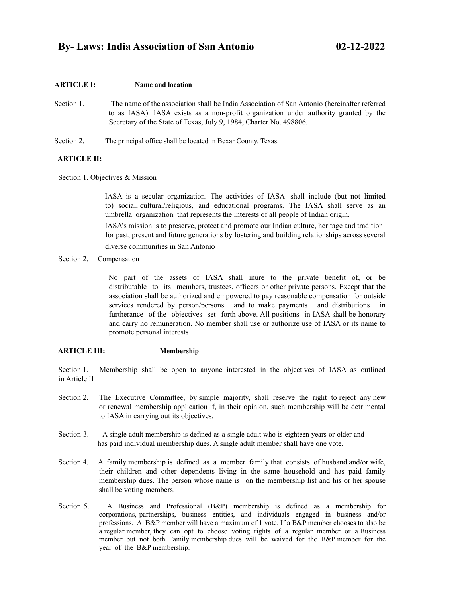# **ARTICLE I: Name and location**

- Section 1. The name of the association shall be India Association of San Antonio (hereinafter referred to as IASA). IASA exists as a non-profit organization under authority granted by the Secretary of the State of Texas, July 9, 1984, Charter No. 498806.
- Section 2. The principal office shall be located in Bexar County, Texas.

# **ARTICLE II:**

Section 1. Objectives & Mission

IASA is a secular organization. The activities of IASA shall include (but not limited to) social, cultural/religious, and educational programs. The IASA shall serve as an umbrella organization that represents the interests of all people of Indian origin.

IASA's mission is to preserve, protect and promote our Indian culture, heritage and tradition for past, present and future generations by fostering and building relationships across several

diverse communities in San Antonio

Section 2. Compensation

No part of the assets of IASA shall inure to the private benefit of, or be distributable to its members, trustees, officers or other private persons. Except that the association shall be authorized and empowered to pay reasonable compensation for outside services rendered by person/persons and to make payments and distributions in furtherance of the objectives set forth above. All positions in IASA shall be honorary and carry no remuneration. No member shall use or authorize use of IASA or its name to promote personal interests

## **ARTICLE III: Membership**

Section 1. Membership shall be open to anyone interested in the objectives of IASA as outlined in Article II

- Section 2. The Executive Committee, by simple majority, shall reserve the right to reject any new or renewal membership application if, in their opinion, such membership will be detrimental to IASA in carrying out its objectives.
- Section 3. A single adult membership is defined as a single adult who is eighteen years or older and has paid individual membership dues. A single adult member shall have one vote.
- Section 4. A family membership is defined as a member family that consists of husband and/or wife, their children and other dependents living in the same household and has paid family membership dues. The person whose name is on the membership list and his or her spouse shall be voting members.
- Section 5. A Business and Professional (B&P) membership is defined as a membership for corporations, partnerships, business entities, and individuals engaged in business and/or professions. A B&P member will have a maximum of 1 vote. If a B&P member chooses to also be a regular member, they can opt to choose voting rights of a regular member or a Business member but not both. Family membership dues will be waived for the B&P member for the year of the B&P membership.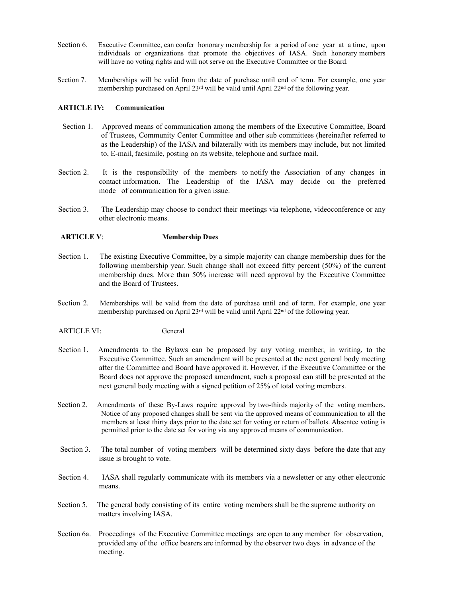- Section 6. Executive Committee, can confer honorary membership for a period of one year at a time, upon individuals or organizations that promote the objectives of IASA. Such honorary members will have no voting rights and will not serve on the Executive Committee or the Board.
- Section 7. Memberships will be valid from the date of purchase until end of term. For example, one year membership purchased on April 23rd will be valid until April 22nd of the following year.

## **ARTICLE IV: Communication**

- Section 1. Approved means of communication among the members of the Executive Committee, Board of Trustees, Community Center Committee and other sub committees (hereinafter referred to as the Leadership) of the IASA and bilaterally with its members may include, but not limited to, E-mail, facsimile, posting on its website, telephone and surface mail.
- Section 2. It is the responsibility of the members to notify the Association of any changes in contact information. The Leadership of the IASA may decide on the preferred mode of communication for a given issue.
- Section 3. The Leadership may choose to conduct their meetings via telephone, videoconference or any other electronic means.

# **ARTICLE V**: **Membership Dues**

- Section 1. The existing Executive Committee, by a simple majority can change membership dues for the following membership year. Such change shall not exceed fifty percent (50%) of the current membership dues. More than 50% increase will need approval by the Executive Committee and the Board of Trustees.
- Section 2. Memberships will be valid from the date of purchase until end of term. For example, one year membership purchased on April 23rd will be valid until April 22nd of the following year.

## ARTICLE VI: General

- Section 1. Amendments to the Bylaws can be proposed by any voting member, in writing, to the Executive Committee. Such an amendment will be presented at the next general body meeting after the Committee and Board have approved it. However, if the Executive Committee or the Board does not approve the proposed amendment, such a proposal can still be presented at the next general body meeting with a signed petition of 25% of total voting members.
- Section 2. Amendments of these By-Laws require approval by two-thirds majority of the voting members. Notice of any proposed changes shall be sent via the approved means of communication to all the members at least thirty days prior to the date set for voting or return of ballots. Absentee voting is permitted prior to the date set for voting via any approved means of communication.
- Section 3. The total number of voting members will be determined sixty days before the date that any issue is brought to vote.
- Section 4. IASA shall regularly communicate with its members via a newsletter or any other electronic means.
- Section 5. The general body consisting of its entire voting members shall be the supreme authority on matters involving IASA.
- Section 6a. Proceedings of the Executive Committee meetings are open to any member for observation, provided any of the office bearers are informed by the observer two days in advance of the meeting.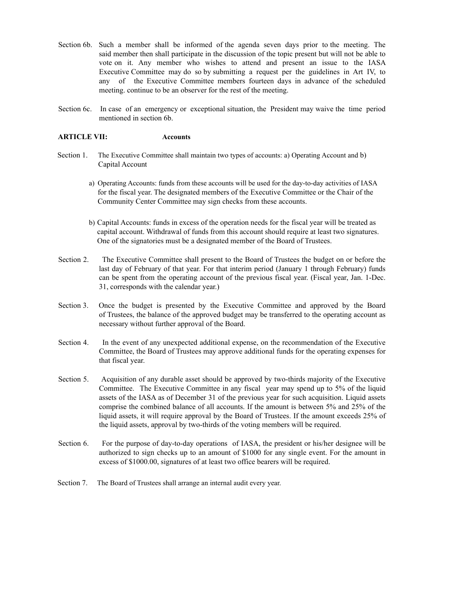- Section 6b. Such a member shall be informed of the agenda seven days prior to the meeting. The said member then shall participate in the discussion of the topic present but will not be able to vote on it. Any member who wishes to attend and present an issue to the IASA Executive Committee may do so by submitting a request per the guidelines in Art IV, to any of the Executive Committee members fourteen days in advance of the scheduled meeting. continue to be an observer for the rest of the meeting.
- Section 6c. In case of an emergency or exceptional situation, the President may waive the time period mentioned in section 6b.

## **ARTICLE VII: Accounts**

- Section 1. The Executive Committee shall maintain two types of accounts: a) Operating Account and b) Capital Account
	- a) Operating Accounts: funds from these accounts will be used for the day-to-day activities of IASA for the fiscal year. The designated members of the Executive Committee or the Chair of the Community Center Committee may sign checks from these accounts.
	- b) Capital Accounts: funds in excess of the operation needs for the fiscal year will be treated as capital account. Withdrawal of funds from this account should require at least two signatures. One of the signatories must be a designated member of the Board of Trustees.
- Section 2. The Executive Committee shall present to the Board of Trustees the budget on or before the last day of February of that year. For that interim period (January 1 through February) funds can be spent from the operating account of the previous fiscal year. (Fiscal year, Jan. 1-Dec. 31, corresponds with the calendar year.)
- Section 3. Once the budget is presented by the Executive Committee and approved by the Board of Trustees, the balance of the approved budget may be transferred to the operating account as necessary without further approval of the Board.
- Section 4. In the event of any unexpected additional expense, on the recommendation of the Executive Committee, the Board of Trustees may approve additional funds for the operating expenses for that fiscal year.
- Section 5. Acquisition of any durable asset should be approved by two-thirds majority of the Executive Committee. The Executive Committee in any fiscal year may spend up to 5% of the liquid assets of the IASA as of December 31 of the previous year for such acquisition. Liquid assets comprise the combined balance of all accounts. If the amount is between 5% and 25% of the liquid assets, it will require approval by the Board of Trustees. If the amount exceeds 25% of the liquid assets, approval by two-thirds of the voting members will be required.
- Section 6. For the purpose of day-to-day operations of IASA, the president or his/her designee will be authorized to sign checks up to an amount of \$1000 for any single event. For the amount in excess of \$1000.00, signatures of at least two office bearers will be required.
- Section 7. The Board of Trustees shall arrange an internal audit every year.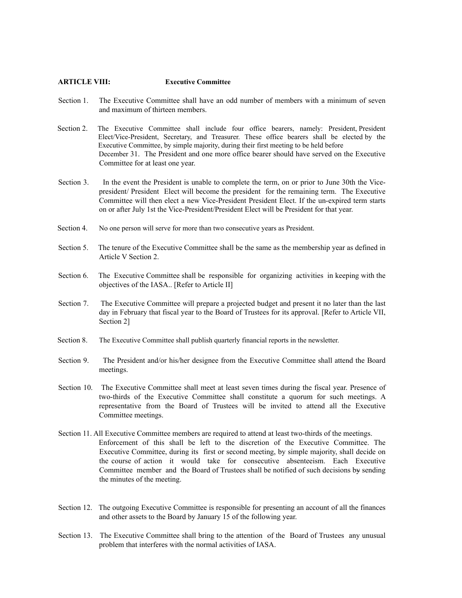#### **ARTICLE VIII: Executive Committee**

- Section 1. The Executive Committee shall have an odd number of members with a minimum of seven and maximum of thirteen members.
- Section 2. The Executive Committee shall include four office bearers, namely: President, President Elect/Vice-President, Secretary, and Treasurer. These office bearers shall be elected by the Executive Committee, by simple majority, during their first meeting to be held before December 31. The President and one more office bearer should have served on the Executive Committee for at least one year.
- Section 3. In the event the President is unable to complete the term, on or prior to June 30th the Vicepresident/ President Elect will become the president for the remaining term. The Executive Committee will then elect a new Vice-President President Elect. If the un-expired term starts on or after July 1st the Vice-President/President Elect will be President for that year.
- Section 4. No one person will serve for more than two consecutive years as President.
- Section 5. The tenure of the Executive Committee shall be the same as the membership year as defined in Article V Section 2.
- Section 6. The Executive Committee shall be responsible for organizing activities in keeping with the objectives of the IASA.. [Refer to Article II]
- Section 7. The Executive Committee will prepare a projected budget and present it no later than the last day in February that fiscal year to the Board of Trustees for its approval. [Refer to Article VII, Section 2]
- Section 8. The Executive Committee shall publish quarterly financial reports in the newsletter.
- Section 9. The President and/or his/her designee from the Executive Committee shall attend the Board meetings.
- Section 10. The Executive Committee shall meet at least seven times during the fiscal year. Presence of two-thirds of the Executive Committee shall constitute a quorum for such meetings. A representative from the Board of Trustees will be invited to attend all the Executive Committee meetings.
- Section 11. All Executive Committee members are required to attend at least two-thirds of the meetings. Enforcement of this shall be left to the discretion of the Executive Committee. The Executive Committee, during its first or second meeting, by simple majority, shall decide on the course of action it would take for consecutive absenteeism. Each Executive Committee member and the Board of Trustees shall be notified of such decisions by sending the minutes of the meeting.
- Section 12. The outgoing Executive Committee is responsible for presenting an account of all the finances and other assets to the Board by January 15 of the following year.
- Section 13. The Executive Committee shall bring to the attention of the Board of Trustees any unusual problem that interferes with the normal activities of IASA.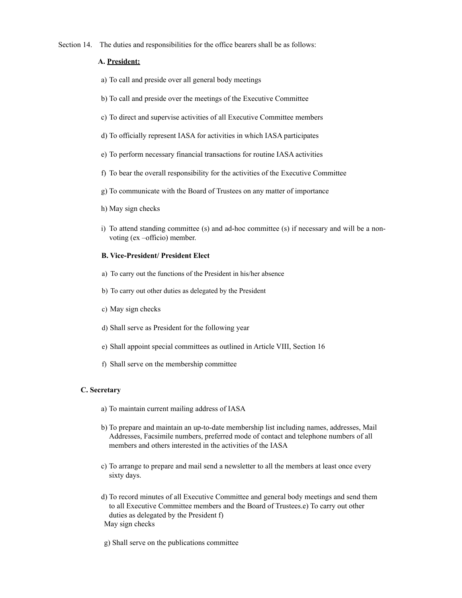Section 14. The duties and responsibilities for the office bearers shall be as follows:

# **A. President:**

- a) To call and preside over all general body meetings
- b) To call and preside over the meetings of the Executive Committee
- c) To direct and supervise activities of all Executive Committee members
- d) To officially represent IASA for activities in which IASA participates
- e) To perform necessary financial transactions for routine IASA activities
- f) To bear the overall responsibility for the activities of the Executive Committee
- g) To communicate with the Board of Trustees on any matter of importance
- h) May sign checks
- i) To attend standing committee (s) and ad-hoc committee (s) if necessary and will be a nonvoting (ex –officio) member.

# **B. Vice-President/ President Elect**

- a) To carry out the functions of the President in his/her absence
- b) To carry out other duties as delegated by the President
- c) May sign checks
- d) Shall serve as President for the following year
- e) Shall appoint special committees as outlined in Article VIII, Section 16
- f) Shall serve on the membership committee

## **C. Secretary**

- a) To maintain current mailing address of IASA
- b) To prepare and maintain an up-to-date membership list including names, addresses, Mail Addresses, Facsimile numbers, preferred mode of contact and telephone numbers of all members and others interested in the activities of the IASA
- c) To arrange to prepare and mail send a newsletter to all the members at least once every sixty days.
- d) To record minutes of all Executive Committee and general body meetings and send them to all Executive Committee members and the Board of Trustees.e) To carry out other duties as delegated by the President f) May sign checks
- g) Shall serve on the publications committee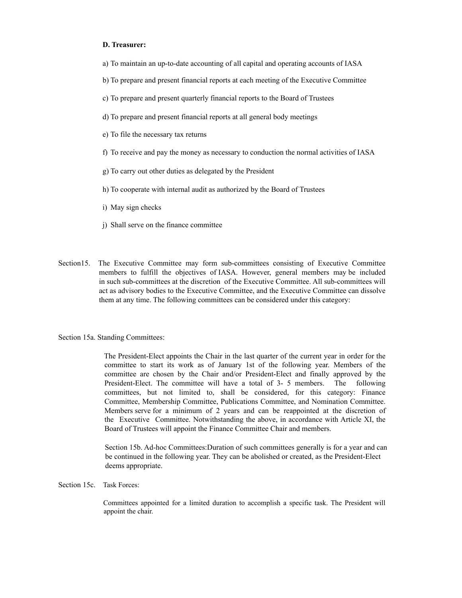#### **D. Treasurer:**

- a) To maintain an up-to-date accounting of all capital and operating accounts of IASA
- b) To prepare and present financial reports at each meeting of the Executive Committee
- c) To prepare and present quarterly financial reports to the Board of Trustees
- d) To prepare and present financial reports at all general body meetings
- e) To file the necessary tax returns
- f) To receive and pay the money as necessary to conduction the normal activities of IASA
- g) To carry out other duties as delegated by the President
- h) To cooperate with internal audit as authorized by the Board of Trustees
- i) May sign checks
- j) Shall serve on the finance committee
- Section15. The Executive Committee may form sub-committees consisting of Executive Committee members to fulfill the objectives of IASA. However, general members may be included in such sub-committees at the discretion of the Executive Committee. All sub-committees will act as advisory bodies to the Executive Committee, and the Executive Committee can dissolve them at any time. The following committees can be considered under this category:

#### Section 15a. Standing Committees:

The President-Elect appoints the Chair in the last quarter of the current year in order for the committee to start its work as of January 1st of the following year. Members of the committee are chosen by the Chair and/or President-Elect and finally approved by the President-Elect. The committee will have a total of 3- 5 members. The following committees, but not limited to, shall be considered, for this category: Finance Committee, Membership Committee, Publications Committee, and Nomination Committee. Members serve for a minimum of 2 years and can be reappointed at the discretion of the Executive Committee. Notwithstanding the above, in accordance with Article XI, the Board of Trustees will appoint the Finance Committee Chair and members.

Section 15b. Ad-hoc Committees:Duration of such committees generally is for a year and can be continued in the following year. They can be abolished or created, as the President-Elect deems appropriate.

Section 15c. Task Forces:

Committees appointed for a limited duration to accomplish a specific task. The President will appoint the chair.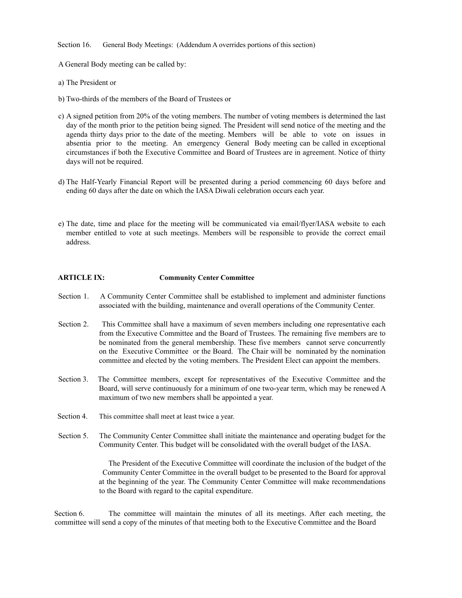Section 16. General Body Meetings: (Addendum A overrides portions of this section)

A General Body meeting can be called by:

- a) The President or
- b) Two-thirds of the members of the Board of Trustees or
- c) A signed petition from 20% of the voting members. The number of voting members is determined the last day of the month prior to the petition being signed. The President will send notice of the meeting and the agenda thirty days prior to the date of the meeting. Members will be able to vote on issues in absentia prior to the meeting. An emergency General Body meeting can be called in exceptional circumstances if both the Executive Committee and Board of Trustees are in agreement. Notice of thirty days will not be required.
- d) The Half-Yearly Financial Report will be presented during a period commencing 60 days before and ending 60 days after the date on which the IASA Diwali celebration occurs each year.
- e) The date, time and place for the meeting will be communicated via email/flyer/IASA website to each member entitled to vote at such meetings. Members will be responsible to provide the correct email address.

# **ARTICLE IX: Community Center Committee**

- Section 1. A Community Center Committee shall be established to implement and administer functions associated with the building, maintenance and overall operations of the Community Center.
- Section 2. This Committee shall have a maximum of seven members including one representative each from the Executive Committee and the Board of Trustees. The remaining five members are to be nominated from the general membership. These five members cannot serve concurrently on the Executive Committee or the Board. The Chair will be nominated by the nomination committee and elected by the voting members. The President Elect can appoint the members.
- Section 3. The Committee members, except for representatives of the Executive Committee and the Board, will serve continuously for a minimum of one two-year term, which may be renewed A maximum of two new members shall be appointed a year.
- Section 4. This committee shall meet at least twice a year.
- Section 5. The Community Center Committee shall initiate the maintenance and operating budget for the Community Center. This budget will be consolidated with the overall budget of the IASA.

The President of the Executive Committee will coordinate the inclusion of the budget of the Community Center Committee in the overall budget to be presented to the Board for approval at the beginning of the year. The Community Center Committee will make recommendations to the Board with regard to the capital expenditure.

Section 6. The committee will maintain the minutes of all its meetings. After each meeting, the committee will send a copy of the minutes of that meeting both to the Executive Committee and the Board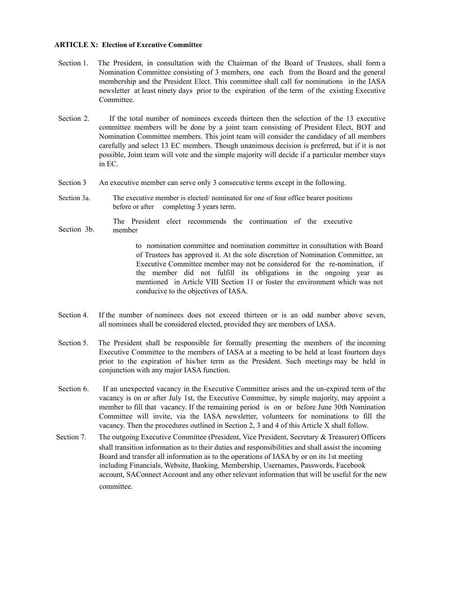#### **ARTICLE X: Election of Executive Committee**

- Section 1. The President, in consultation with the Chairman of the Board of Trustees, shall form a Nomination Committee consisting of 3 members, one each from the Board and the general membership and the President Elect. This committee shall call for nominations in the IASA newsletter at least ninety days prior to the expiration of the term of the existing Executive Committee.
- Section 2. If the total number of nominees exceeds thirteen then the selection of the 13 executive committee members will be done by a joint team consisting of President Elect, BOT and Nomination Committee members. This joint team will consider the candidacy of all members carefully and select 13 EC members. Though unanimous decision is preferred, but if it is not possible, Joint team will vote and the simple majority will decide if a particular member stays in EC.
- Section 3 An executive member can serve only 3 consecutive terms except in the following.
- Section 3a. The executive member is elected/ nominated for one of four office bearer positions before or after completing 3 years term.
- Section 3b. The President elect recommends the continuation of the executive member

to nomination committee and nomination committee in consultation with Board of Trustees has approved it. At the sole discretion of Nomination Committee, an Executive Committee member may not be considered for the re-nomination, if the member did not fulfill its obligations in the ongoing year as mentioned in Article VIII Section 11 or foster the environment which was not conducive to the objectives of IASA.

- Section 4. If the number of nominees does not exceed thirteen or is an odd number above seven, all nominees shall be considered elected, provided they are members of IASA.
- Section 5. The President shall be responsible for formally presenting the members of the incoming Executive Committee to the members of IASA at a meeting to be held at least fourteen days prior to the expiration of his/her term as the President. Such meetings may be held in conjunction with any major IASA function.
- Section 6. If an unexpected vacancy in the Executive Committee arises and the un-expired term of the vacancy is on or after July 1st, the Executive Committee, by simple majority, may appoint a member to fill that vacancy. If the remaining period is on or before June 30th Nomination Committee will invite, via the IASA newsletter, volunteers for nominations to fill the vacancy. Then the procedures outlined in Section 2, 3 and 4 of this Article X shall follow.
- Section 7. The outgoing Executive Committee (President, Vice President, Secretary & Treasurer) Officers shall transition information as to their duties and responsibilities and shall assist the incoming Board and transfer all information as to the operations of IASA by or on its 1st meeting including Financials, Website, Banking, Membership, Usernames, Passwords, Facebook account, SAConnect Account and any other relevant information that will be useful for the new committee.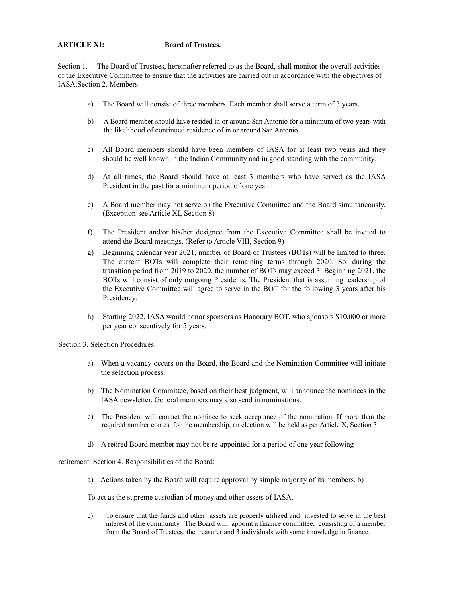# **ARTICLE XI: Board of Trustees.**

Section 1. The Board of Trustees, hereinafter referred to as the Board, shall monitor the overall activities of the Executive Committee to ensure that the activities are carried out in accordance with the objectives of IASA.Section 2. Members:

- a) The Board will consist of three members. Each member shall serve a term of 3 years.
- b) A Board member should have resided in or around San Antonio for a minimum of two years with the likelihood of continued residence of in or around San Antonio.
- c) All Board members should have been members of IASA for at least two years and they should be well known in the Indian Community and in good standing with the community.
- d) At all times, the Board should have at least 3 members who have served as the IASA President in the past for a minimum period of one year.
- e) A Board member may not serve on the Executive Committee and the Board simultaneously. (Exception-see Article XI, Section 8)
- f) The President and/or his/her designee from the Executive Committee shall be invited to attend the Board meetings. (Refer to Article VIII, Section 9)
- g) Beginning calendar year 2021, number of Board of Trustees (BOTs) will be limited to three. The current BOTs will complete their remaining terms through 2020. So, during the transition period from 2019 to 2020, the number of BOTs may exceed 3. Beginning 2021, the BOTs will consist of only outgoing Presidents. The President that is assuming leadership of the Executive Committee will agree to serve in the BOT for the following 3 years after his Presidency.
- h) Starting 2022, IASA would honor sponsors as Honorary BOT, who sponsors \$10,000 or more per year consecutively for 5 years.

Section 3. Selection Procedures:

- a) When a vacancy occurs on the Board, the Board and the Nomination Committee will initiate the selection process.
- b) The Nomination Committee, based on their best judgment, will announce the nominees in the IASA newsletter. General members may also send in nominations.
- c) The President will contact the nominee to seek acceptance of the nomination. If more than the required number contest for the membership, an election will be held as per Article X, Section 3
- d) A retired Board member may not be re-appointed for a period of one year following

retirement. Section 4. Responsibilities of the Board:

a) Actions taken by the Board will require approval by simple majority of its members. b)

To act as the supreme custodian of money and other assets of IASA.

c) To ensure that the funds and other assets are properly utilized and invested to serve in the best interest of the community. The Board will appoint a finance committee, consisting of a member from the Board of Trustees, the treasurer and 3 individuals with some knowledge in finance.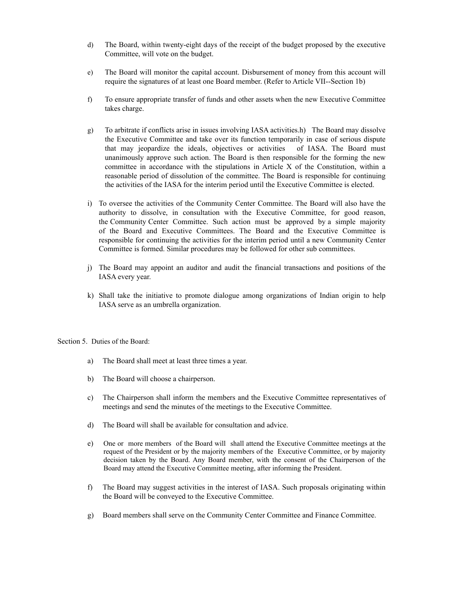- d) The Board, within twenty-eight days of the receipt of the budget proposed by the executive Committee, will vote on the budget.
- e) The Board will monitor the capital account. Disbursement of money from this account will require the signatures of at least one Board member. (Refer to Article VII--Section 1b)
- f) To ensure appropriate transfer of funds and other assets when the new Executive Committee takes charge.
- g) To arbitrate if conflicts arise in issues involving IASA activities.h) The Board may dissolve the Executive Committee and take over its function temporarily in case of serious dispute that may jeopardize the ideals, objectives or activities of IASA. The Board must unanimously approve such action. The Board is then responsible for the forming the new committee in accordance with the stipulations in Article X of the Constitution, within a reasonable period of dissolution of the committee. The Board is responsible for continuing the activities of the IASA for the interim period until the Executive Committee is elected.
- i) To oversee the activities of the Community Center Committee. The Board will also have the authority to dissolve, in consultation with the Executive Committee, for good reason, the Community Center Committee. Such action must be approved by a simple majority of the Board and Executive Committees. The Board and the Executive Committee is responsible for continuing the activities for the interim period until a new Community Center Committee is formed. Similar procedures may be followed for other sub committees.
- j) The Board may appoint an auditor and audit the financial transactions and positions of the IASA every year.
- k) Shall take the initiative to promote dialogue among organizations of Indian origin to help IASA serve as an umbrella organization.

Section 5. Duties of the Board:

- a) The Board shall meet at least three times a year.
- b) The Board will choose a chairperson.
- c) The Chairperson shall inform the members and the Executive Committee representatives of meetings and send the minutes of the meetings to the Executive Committee.
- d) The Board will shall be available for consultation and advice.
- e) One or more members of the Board will shall attend the Executive Committee meetings at the request of the President or by the majority members of the Executive Committee, or by majority decision taken by the Board. Any Board member, with the consent of the Chairperson of the Board may attend the Executive Committee meeting, after informing the President.
- f) The Board may suggest activities in the interest of IASA. Such proposals originating within the Board will be conveyed to the Executive Committee.
- g) Board members shall serve on the Community Center Committee and Finance Committee.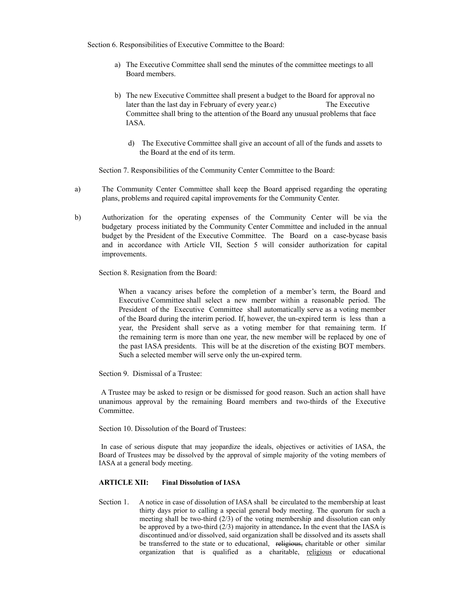Section 6. Responsibilities of Executive Committee to the Board:

- a) The Executive Committee shall send the minutes of the committee meetings to all Board members.
- b) The new Executive Committee shall present a budget to the Board for approval no later than the last day in February of every year.c) The Executive Committee shall bring to the attention of the Board any unusual problems that face IASA.
	- d) The Executive Committee shall give an account of all of the funds and assets to the Board at the end of its term.

Section 7. Responsibilities of the Community Center Committee to the Board:

- a) The Community Center Committee shall keep the Board apprised regarding the operating plans, problems and required capital improvements for the Community Center.
- b) Authorization for the operating expenses of the Community Center will be via the budgetary process initiated by the Community Center Committee and included in the annual budget by the President of the Executive Committee. The Board on a case-bycase basis and in accordance with Article VII, Section 5 will consider authorization for capital improvements.

Section 8. Resignation from the Board:

When a vacancy arises before the completion of a member's term, the Board and Executive Committee shall select a new member within a reasonable period. The President of the Executive Committee shall automatically serve as a voting member of the Board during the interim period. If, however, the un-expired term is less than a year, the President shall serve as a voting member for that remaining term. If the remaining term is more than one year, the new member will be replaced by one of the past IASA presidents. This will be at the discretion of the existing BOT members. Such a selected member will serve only the un-expired term.

Section 9. Dismissal of a Trustee:

A Trustee may be asked to resign or be dismissed for good reason. Such an action shall have unanimous approval by the remaining Board members and two-thirds of the Executive Committee.

Section 10. Dissolution of the Board of Trustees:

In case of serious dispute that may jeopardize the ideals, objectives or activities of IASA, the Board of Trustees may be dissolved by the approval of simple majority of the voting members of IASA at a general body meeting.

## **ARTICLE XII: Final Dissolution of IASA**

Section 1. A notice in case of dissolution of IASA shall be circulated to the membership at least thirty days prior to calling a special general body meeting. The quorum for such a meeting shall be two-third (2/3) of the voting membership and dissolution can only be approved by a two-third (2/3) majority in attendance**.** In the event that the IASA is discontinued and/or dissolved, said organization shall be dissolved and its assets shall be transferred to the state or to educational, religious, charitable or other similar organization that is qualified as a charitable, religious or educational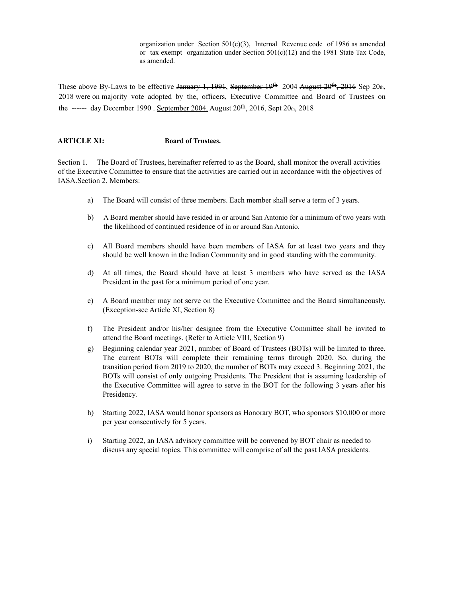organization under Section  $501(c)(3)$ , Internal Revenue code of 1986 as amended or tax exempt organization under Section 501(c)(12) and the 1981 State Tax Code, as amended.

These above By-Laws to be effective January 1, 1991, September 19<sup>th</sup> 2004 August 20<sup>th</sup>, 2016 Sep 20th, 2018 were on majority vote adopted by the, officers, Executive Committee and Board of Trustees on the ------ day December 1990. September 2004. August  $20^{th}$ ,  $2016$ , Sept  $20_{th}$ ,  $2018$ 

## **ARTICLE XI: Board of Trustees.**

Section 1. The Board of Trustees, hereinafter referred to as the Board, shall monitor the overall activities of the Executive Committee to ensure that the activities are carried out in accordance with the objectives of IASA.Section 2. Members:

- a) The Board will consist of three members. Each member shall serve a term of 3 years.
- b) A Board member should have resided in or around San Antonio for a minimum of two years with the likelihood of continued residence of in or around San Antonio.
- c) All Board members should have been members of IASA for at least two years and they should be well known in the Indian Community and in good standing with the community.
- d) At all times, the Board should have at least 3 members who have served as the IASA President in the past for a minimum period of one year.
- e) A Board member may not serve on the Executive Committee and the Board simultaneously. (Exception-see Article XI, Section 8)
- f) The President and/or his/her designee from the Executive Committee shall be invited to attend the Board meetings. (Refer to Article VIII, Section 9)
- g) Beginning calendar year 2021, number of Board of Trustees (BOTs) will be limited to three. The current BOTs will complete their remaining terms through 2020. So, during the transition period from 2019 to 2020, the number of BOTs may exceed 3. Beginning 2021, the BOTs will consist of only outgoing Presidents. The President that is assuming leadership of the Executive Committee will agree to serve in the BOT for the following 3 years after his Presidency.
- h) Starting 2022, IASA would honor sponsors as Honorary BOT, who sponsors \$10,000 or more per year consecutively for 5 years.
- i) Starting 2022, an IASA advisory committee will be convened by BOT chair as needed to discuss any special topics. This committee will comprise of all the past IASA presidents.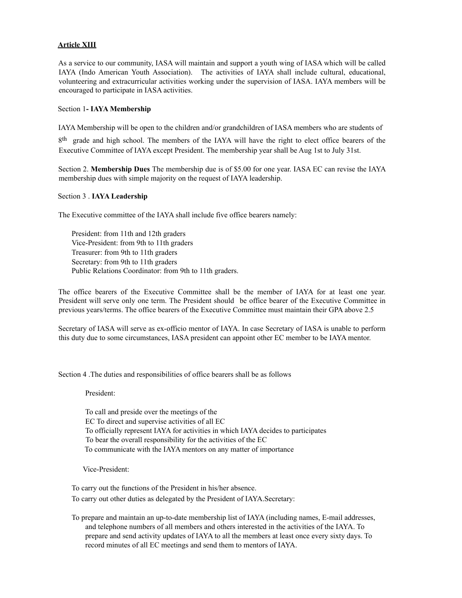# **Article XIII**

As a service to our community, IASA will maintain and support a youth wing of IASA which will be called IAYA (Indo American Youth Association). The activities of IAYA shall include cultural, educational, volunteering and extracurricular activities working under the supervision of IASA. IAYA members will be encouraged to participate in IASA activities.

#### Section 1**- IAYA Membership**

IAYA Membership will be open to the children and/or grandchildren of IASA members who are students of

8<sup>th</sup> grade and high school. The members of the IAYA will have the right to elect office bearers of the Executive Committee of IAYA except President. The membership year shall be Aug 1st to July 31st.

Section 2. **Membership Dues** The membership due is of \$5.00 for one year. IASA EC can revise the IAYA membership dues with simple majority on the request of IAYA leadership.

#### Section 3 . **IAYA Leadership**

The Executive committee of the IAYA shall include five office bearers namely:

President: from 11th and 12th graders Vice-President: from 9th to 11th graders Treasurer: from 9th to 11th graders Secretary: from 9th to 11th graders Public Relations Coordinator: from 9th to 11th graders.

The office bearers of the Executive Committee shall be the member of IAYA for at least one year. President will serve only one term. The President should be office bearer of the Executive Committee in previous years/terms. The office bearers of the Executive Committee must maintain their GPA above 2.5

Secretary of IASA will serve as ex-officio mentor of IAYA. In case Secretary of IASA is unable to perform this duty due to some circumstances, IASA president can appoint other EC member to be IAYA mentor.

Section 4 .The duties and responsibilities of office bearers shall be as follows

President:

To call and preside over the meetings of the EC To direct and supervise activities of all EC To officially represent IAYA for activities in which IAYA decides to participates To bear the overall responsibility for the activities of the EC To communicate with the IAYA mentors on any matter of importance

Vice-President:

To carry out the functions of the President in his/her absence.

To carry out other duties as delegated by the President of IAYA.Secretary:

To prepare and maintain an up-to-date membership list of IAYA (including names, E-mail addresses, and telephone numbers of all members and others interested in the activities of the IAYA. To prepare and send activity updates of IAYA to all the members at least once every sixty days. To record minutes of all EC meetings and send them to mentors of IAYA.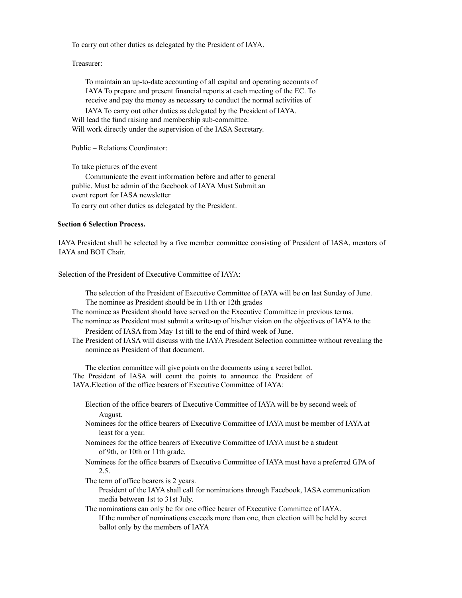To carry out other duties as delegated by the President of IAYA.

Treasurer:

To maintain an up-to-date accounting of all capital and operating accounts of IAYA To prepare and present financial reports at each meeting of the EC. To receive and pay the money as necessary to conduct the normal activities of

IAYA To carry out other duties as delegated by the President of IAYA. Will lead the fund raising and membership sub-committee. Will work directly under the supervision of the IASA Secretary.

Public – Relations Coordinator:

To take pictures of the event

Communicate the event information before and after to general public. Must be admin of the facebook of IAYA Must Submit an event report for IASA newsletter To carry out other duties as delegated by the President.

## **Section 6 Selection Process.**

IAYA President shall be selected by a five member committee consisting of President of IASA, mentors of IAYA and BOT Chair.

Selection of the President of Executive Committee of IAYA:

The selection of the President of Executive Committee of IAYA will be on last Sunday of June. The nominee as President should be in 11th or 12th grades

The nominee as President should have served on the Executive Committee in previous terms.

- The nominee as President must submit a write-up of his/her vision on the objectives of IAYA to the President of IASA from May 1st till to the end of third week of June.
- The President of IASA will discuss with the IAYA President Selection committee without revealing the nominee as President of that document.

The election committee will give points on the documents using a secret ballot. The President of IASA will count the points to announce the President of IAYA.Election of the office bearers of Executive Committee of IAYA:

Election of the office bearers of Executive Committee of IAYA will be by second week of August.

- Nominees for the office bearers of Executive Committee of IAYA must be member of IAYA at least for a year.
- Nominees for the office bearers of Executive Committee of IAYA must be a student of 9th, or 10th or 11th grade.
- Nominees for the office bearers of Executive Committee of IAYA must have a preferred GPA of 2.5.
- The term of office bearers is 2 years.

President of the IAYA shall call for nominations through Facebook, IASA communication media between 1st to 31st July.

The nominations can only be for one office bearer of Executive Committee of IAYA. If the number of nominations exceeds more than one, then election will be held by secret ballot only by the members of IAYA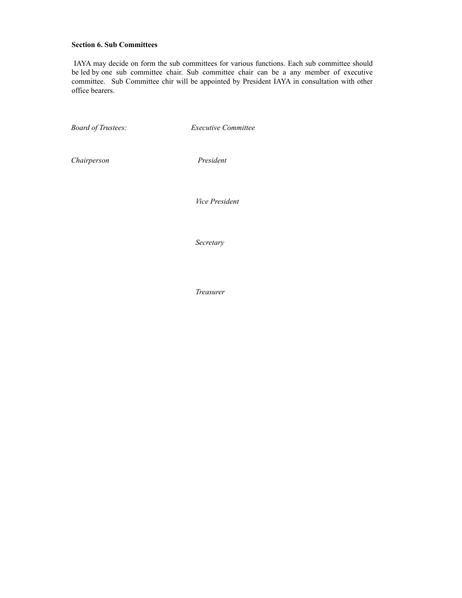# **Section 6. Sub Committees**

IAYA may decide on form the sub committees for various functions. Each sub committee should be led by one sub committee chair. Sub committee chair can be a any member of executive committee. Sub Committee chir will be appointed by President IAYA in consultation with other office bearers.

*Board of Trustees: Executive Committee*

*Chairperson President* 

 *Vice President* 

 *Secretary* 

 *Treasurer*